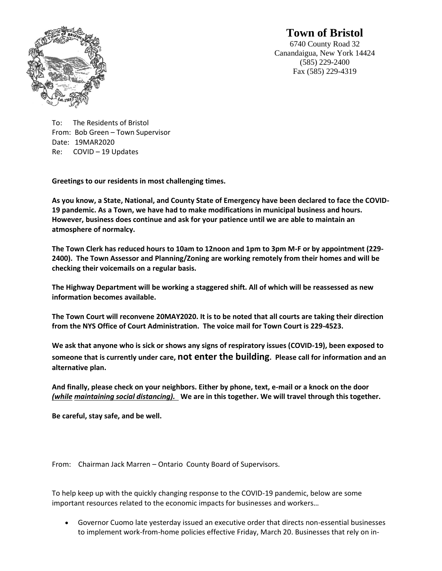

# **Town of Bristol**

6740 County Road 32 Canandaigua, New York 14424 (585) 229-2400 Fax (585) 229-4319

To: The Residents of Bristol From: Bob Green – Town Supervisor Date: 19MAR2020 Re: COVID – 19 Updates

**Greetings to our residents in most challenging times.**

**As you know, a State, National, and County State of Emergency have been declared to face the COVID-19 pandemic. As a Town, we have had to make modifications in municipal business and hours. However, business does continue and ask for your patience until we are able to maintain an atmosphere of normalcy.**

**The Town Clerk has reduced hours to 10am to 12noon and 1pm to 3pm M-F or by appointment (229- 2400). The Town Assessor and Planning/Zoning are working remotely from their homes and will be checking their voicemails on a regular basis.**

**The Highway Department will be working a staggered shift. All of which will be reassessed as new information becomes available.**

**The Town Court will reconvene 20MAY2020. It is to be noted that all courts are taking their direction from the NYS Office of Court Administration. The voice mail for Town Court is 229-4523.**

**We ask that anyone who is sick or shows any signs of respiratory issues (COVID-19), been exposed to someone that is currently under care, not enter the building. Please call for information and an alternative plan.**

**And finally, please check on your neighbors. Either by phone, text, e-mail or a knock on the door**  *(while maintaining social distancing).* **We are in this together. We will travel through this together.**

**Be careful, stay safe, and be well.**

From: Chairman Jack Marren – Ontario County Board of Supervisors.

To help keep up with the quickly changing response to the COVID-19 pandemic, below are some important resources related to the economic impacts for businesses and workers…

• Governor Cuomo late yesterday issued an executive order that directs non-essential businesses to implement work-from-home policies effective Friday, March 20. Businesses that rely on in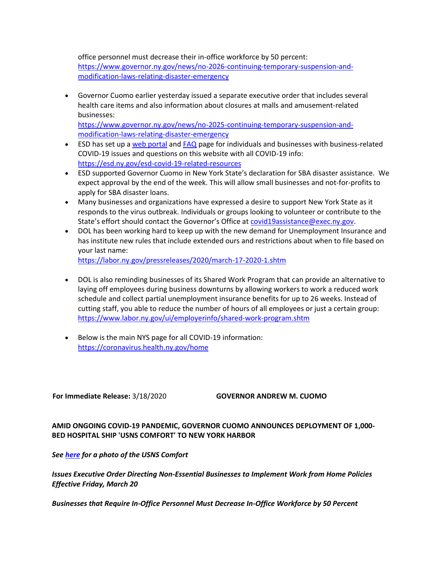office personnel must decrease their in-office workforce by 50 percent: [https://www.governor.ny.gov/news/no-2026-continuing-temporary-suspension-and](https://www.governor.ny.gov/news/no-2026-continuing-temporary-suspension-and-modification-laws-relating-disaster-emergency)[modification-laws-relating-disaster-emergency](https://www.governor.ny.gov/news/no-2026-continuing-temporary-suspension-and-modification-laws-relating-disaster-emergency)

• Governor Cuomo earlier yesterday issued a separate executive order that includes several health care items and also information about closures at malls and amusement-related businesses:

[https://www.governor.ny.gov/news/no-2025-continuing-temporary-suspension-and](https://www.governor.ny.gov/news/no-2025-continuing-temporary-suspension-and-modification-laws-relating-disaster-emergency)[modification-laws-relating-disaster-emergency](https://www.governor.ny.gov/news/no-2025-continuing-temporary-suspension-and-modification-laws-relating-disaster-emergency)

- ESD has set up a [web portal](https://esd.ny.gov/covid-19-help) and [FAQ](https://esd.ny.gov/novel-coronavirus-faq-businesses) page for individuals and businesses with business-related COVID-19 issues and questions on this website with all COVID-19 info: <https://esd.ny.gov/esd-covid-19-related-resources>
- ESD supported Governor Cuomo in New York State's declaration for SBA disaster assistance. We expect approval by the end of the week. This will allow small businesses and not-for-profits to apply for SBA disaster loans.
- Many businesses and organizations have expressed a desire to support New York State as it responds to the virus outbreak. Individuals or groups looking to volunteer or contribute to the State's effort should contact the Governor's Office at [covid19assistance@exec.ny.gov.](mailto:covid19assistance@exec.ny.gov)
- DOL has been working hard to keep up with the new demand for Unemployment Insurance and has institute new rules that include extended ours and restrictions about when to file based on your last name:

<https://labor.ny.gov/pressreleases/2020/march-17-2020-1.shtm>

- DOL is also reminding businesses of its Shared Work Program that can provide an alternative to laying off employees during business downturns by allowing workers to work a reduced work schedule and collect partial unemployment insurance benefits for up to 26 weeks. Instead of cutting staff, you able to reduce the number of hours of all employees or just a certain group: <https://www.labor.ny.gov/ui/employerinfo/shared-work-program.shtm>
- Below is the main NYS page for all COVID-19 information: <https://coronavirus.health.ny.gov/home>

**For Immediate Release:** 3/18/2020 **GOVERNOR ANDREW M. CUOMO**

**AMID ONGOING COVID-19 PANDEMIC, GOVERNOR CUOMO ANNOUNCES DEPLOYMENT OF 1,000- BED HOSPITAL SHIP 'USNS COMFORT' TO NEW YORK HARBOR**

*See [here](https://www.governor.ny.gov/sites/governor.ny.gov/files/thumbnails/image/defense-large.jpg) for a photo of the USNS Comfort*

*Issues Executive Order Directing Non-Essential Businesses to Implement Work from Home Policies Effective Friday, March 20*

*Businesses that Require In-Office Personnel Must Decrease In-Office Workforce by 50 Percent*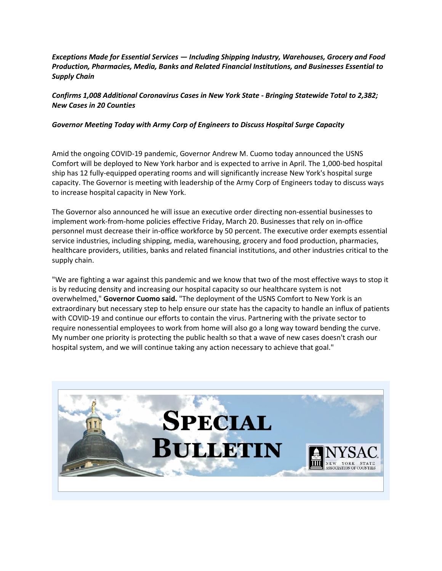## *Exceptions Made for Essential Services — Including Shipping Industry, Warehouses, Grocery and Food Production, Pharmacies, Media, Banks and Related Financial Institutions, and Businesses Essential to Supply Chain*

## *Confirms 1,008 Additional Coronavirus Cases in New York State - Bringing Statewide Total to 2,382; New Cases in 20 Counties*

## *Governor Meeting Today with Army Corp of Engineers to Discuss Hospital Surge Capacity*

Amid the ongoing COVID-19 pandemic, Governor Andrew M. Cuomo today announced the USNS Comfort will be deployed to New York harbor and is expected to arrive in April. The 1,000-bed hospital ship has 12 fully-equipped operating rooms and will significantly increase New York's hospital surge capacity. The Governor is meeting with leadership of the Army Corp of Engineers today to discuss ways to increase hospital capacity in New York.

The Governor also announced he will issue an executive order directing non-essential businesses to implement work-from-home policies effective Friday, March 20. Businesses that rely on in-office personnel must decrease their in-office workforce by 50 percent. The executive order exempts essential service industries, including shipping, media, warehousing, grocery and food production, pharmacies, healthcare providers, utilities, banks and related financial institutions, and other industries critical to the supply chain.

"We are fighting a war against this pandemic and we know that two of the most effective ways to stop it is by reducing density and increasing our hospital capacity so our healthcare system is not overwhelmed," **Governor Cuomo said.** "The deployment of the USNS Comfort to New York is an extraordinary but necessary step to help ensure our state has the capacity to handle an influx of patients with COVID-19 and continue our efforts to contain the virus. Partnering with the private sector to require nonessential employees to work from home will also go a long way toward bending the curve. My number one priority is protecting the public health so that a wave of new cases doesn't crash our hospital system, and we will continue taking any action necessary to achieve that goal."

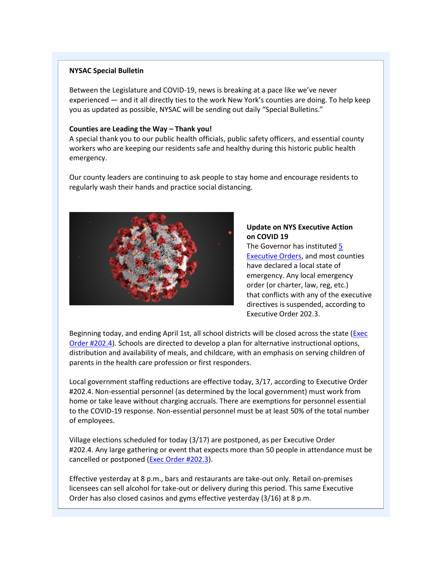## **NYSAC Special Bulletin**

Between the Legislature and COVID-19, news is breaking at a pace like we've never experienced — and it all directly ties to the work New York's counties are doing. To help keep you as updated as possible, NYSAC will be sending out daily "Special Bulletins."

## **Counties are Leading the Way – Thank you!**

A special thank you to our public health officials, public safety officers, and essential county workers who are keeping our residents safe and healthy during this historic public health emergency.

Our county leaders are continuing to ask people to stay home and encourage residents to regularly wash their hands and practice social distancing.



## **Update on NYS Executive Action on COVID 19**

The Governor has instituted [5](http://r20.rs6.net/tn.jsp?f=001Pd8_LzXkd8ueFCjfNA7fwR3ps0fNq3dNaOjIRiZk6EBlJXPsmiDGTmv2aRprbhK3nl4yOCEwlB6nj-uh6V8nfTeYRWWj1Y6E1nTFGIhE07Yp5lGZf7BbigRbuN7CHaSZb9CAn7lTwf_n1-X5V2DUEA==&c=fJjYTPogwX_qELjg43oE31qPX6tsHNRnjaFc35XncdBo5Gk1YDI74A==&ch=XAMhct5sl7r-cUyXsiXcMbcvvsCZBHirgb6b4EzoG3LsHH0smTzZxA==)  [Executive Orders,](http://r20.rs6.net/tn.jsp?f=001Pd8_LzXkd8ueFCjfNA7fwR3ps0fNq3dNaOjIRiZk6EBlJXPsmiDGTmv2aRprbhK3nl4yOCEwlB6nj-uh6V8nfTeYRWWj1Y6E1nTFGIhE07Yp5lGZf7BbigRbuN7CHaSZb9CAn7lTwf_n1-X5V2DUEA==&c=fJjYTPogwX_qELjg43oE31qPX6tsHNRnjaFc35XncdBo5Gk1YDI74A==&ch=XAMhct5sl7r-cUyXsiXcMbcvvsCZBHirgb6b4EzoG3LsHH0smTzZxA==) and most counties have declared a local state of emergency. Any local emergency order (or charter, law, reg, etc.) that conflicts with any of the executive directives is suspended, according to Executive Order 202.3.

Beginning today, and ending April 1st, all school districts will be closed across the state [\(Exec](http://r20.rs6.net/tn.jsp?f=001Pd8_LzXkd8ueFCjfNA7fwR3ps0fNq3dNaOjIRiZk6EBlJXPsmiDGTrbs1p4lOYdWi2hUJ4_bvP7fVyGxDNx5IDlZLe8K-Ohe5-sdLbl8aEM464c8P5PREQlHnM3IaYBE_mSj5DI36O_rTkTmZtqyj0f4CSKTmqQQU4uYEgFyIAs=&c=fJjYTPogwX_qELjg43oE31qPX6tsHNRnjaFc35XncdBo5Gk1YDI74A==&ch=XAMhct5sl7r-cUyXsiXcMbcvvsCZBHirgb6b4EzoG3LsHH0smTzZxA==)  Order [#202.4\)](http://r20.rs6.net/tn.jsp?f=001Pd8_LzXkd8ueFCjfNA7fwR3ps0fNq3dNaOjIRiZk6EBlJXPsmiDGTrbs1p4lOYdWi2hUJ4_bvP7fVyGxDNx5IDlZLe8K-Ohe5-sdLbl8aEM464c8P5PREQlHnM3IaYBE_mSj5DI36O_rTkTmZtqyj0f4CSKTmqQQU4uYEgFyIAs=&c=fJjYTPogwX_qELjg43oE31qPX6tsHNRnjaFc35XncdBo5Gk1YDI74A==&ch=XAMhct5sl7r-cUyXsiXcMbcvvsCZBHirgb6b4EzoG3LsHH0smTzZxA==). Schools are directed to develop a plan for alternative instructional options, distribution and availability of meals, and childcare, with an emphasis on serving children of parents in the health care profession or first responders.

Local government staffing reductions are effective today, 3/17, according to Executive Order #202.4. Non-essential personnel (as determined by the local government) must work from home or take leave without charging accruals. There are exemptions for personnel essential to the COVID-19 response. Non-essential personnel must be at least 50% of the total number of employees.

Village elections scheduled for today (3/17) are postponed, as per Executive Order #202.4. Any large gathering or event that expects more than 50 people in attendance must be cancelled or postponed [\(Exec Order #202.3\)](http://r20.rs6.net/tn.jsp?f=001Pd8_LzXkd8ueFCjfNA7fwR3ps0fNq3dNaOjIRiZk6EBlJXPsmiDGTrbs1p4lOYdWUBUkYv6TjgRVT5XcV3oHwWZm4KgnIRDE9cqiFgY8WEAl8vHi7SYqcrf5MISpymvk9G6jS5cj8lOdjL_TcPsd8uyinxqIXvx0Ts7lFsM3Tpk=&c=fJjYTPogwX_qELjg43oE31qPX6tsHNRnjaFc35XncdBo5Gk1YDI74A==&ch=XAMhct5sl7r-cUyXsiXcMbcvvsCZBHirgb6b4EzoG3LsHH0smTzZxA==).

Effective yesterday at 8 p.m., bars and restaurants are take-out only. Retail on-premises licensees can sell alcohol for take-out or delivery during this period. This same Executive Order has also closed casinos and gyms effective yesterday (3/16) at 8 p.m.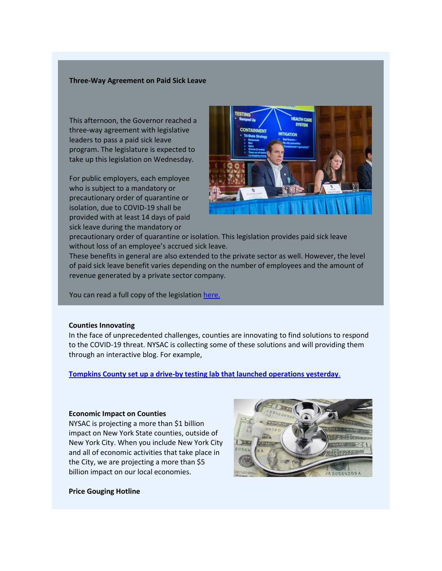#### **Three-Way Agreement on Paid Sick Leave**

This afternoon, the Governor reached a three-way agreement with legislative leaders to pass a paid sick leave program. The legislature is expected to take up this legislation on Wednesday.

For public employers, each employee who is subject to a mandatory or precautionary order of quarantine or isolation, due to COVID-19 shall be provided with at least 14 days of paid sick leave during the mandatory or



precautionary order of quarantine or isolation. This legislation provides paid sick leave without loss of an employee's accrued sick leave.

These benefits in general are also extended to the private sector as well. However, the level of paid sick leave benefit varies depending on the number of employees and the amount of revenue generated by a private sector company.

You can read a full copy of the legislation [here.](http://r20.rs6.net/tn.jsp?f=001Pd8_LzXkd8ueFCjfNA7fwR3ps0fNq3dNaOjIRiZk6EBlJXPsmiDGTrbs1p4lOYdWgVb9ztsvl3VEOfmVHw2Jmgnz2JjKODgS4x4ig_2Fc41tJAP9-aiPejNDMDBvukciutXHHRUDZIgYv-IUr2o92dhlTqjgmdaPegsNcfBsbMBHllJnQYeGxxeOR9JpwJoCZ2LXJ4vaWM6Knz6jXzPyZY18EebcCTksevFpovwK34Jvxhc1F7-op7-iqjHdfBrk&c=fJjYTPogwX_qELjg43oE31qPX6tsHNRnjaFc35XncdBo5Gk1YDI74A==&ch=XAMhct5sl7r-cUyXsiXcMbcvvsCZBHirgb6b4EzoG3LsHH0smTzZxA==)

### **Counties Innovating**

In the face of unprecedented challenges, counties are innovating to find solutions to respond to the COVID-19 threat. NYSAC is collecting some of these solutions and will providing them through an interactive blog. For example,

**Tompkins County set up a drive-by testing lab [that launched operations yesterday](http://r20.rs6.net/tn.jsp?f=001Pd8_LzXkd8ueFCjfNA7fwR3ps0fNq3dNaOjIRiZk6EBlJXPsmiDGTrbs1p4lOYdWZ3VCqtKHXubhhQu-I1yykoJ2m9K0rQ9KZuG2z-QGXkj_eWNhJ__WwC-blnn7FY3naklCxkQrr_XzECEnKmUlg3ZwdBbIbIy5DjyP4qvaX2WpLnuLzHDo0GW2G2w_Er7kUuWDFLmxbmZoucACruEXZEswkj0Gsu2rlTI08xcwdAg=&c=fJjYTPogwX_qELjg43oE31qPX6tsHNRnjaFc35XncdBo5Gk1YDI74A==&ch=XAMhct5sl7r-cUyXsiXcMbcvvsCZBHirgb6b4EzoG3LsHH0smTzZxA==)**[.](http://r20.rs6.net/tn.jsp?f=001Pd8_LzXkd8ueFCjfNA7fwR3ps0fNq3dNaOjIRiZk6EBlJXPsmiDGTrbs1p4lOYdWZ3VCqtKHXubhhQu-I1yykoJ2m9K0rQ9KZuG2z-QGXkj_eWNhJ__WwC-blnn7FY3naklCxkQrr_XzECEnKmUlg3ZwdBbIbIy5DjyP4qvaX2WpLnuLzHDo0GW2G2w_Er7kUuWDFLmxbmZoucACruEXZEswkj0Gsu2rlTI08xcwdAg=&c=fJjYTPogwX_qELjg43oE31qPX6tsHNRnjaFc35XncdBo5Gk1YDI74A==&ch=XAMhct5sl7r-cUyXsiXcMbcvvsCZBHirgb6b4EzoG3LsHH0smTzZxA==)

#### **Economic Impact on Counties**

NYSAC is projecting a more than \$1 billion impact on New York State counties, outside of New York City. When you include New York City and all of economic activities that take place in the City, we are projecting a more than \$5 billion impact on our local economies.



#### **Price Gouging Hotline**